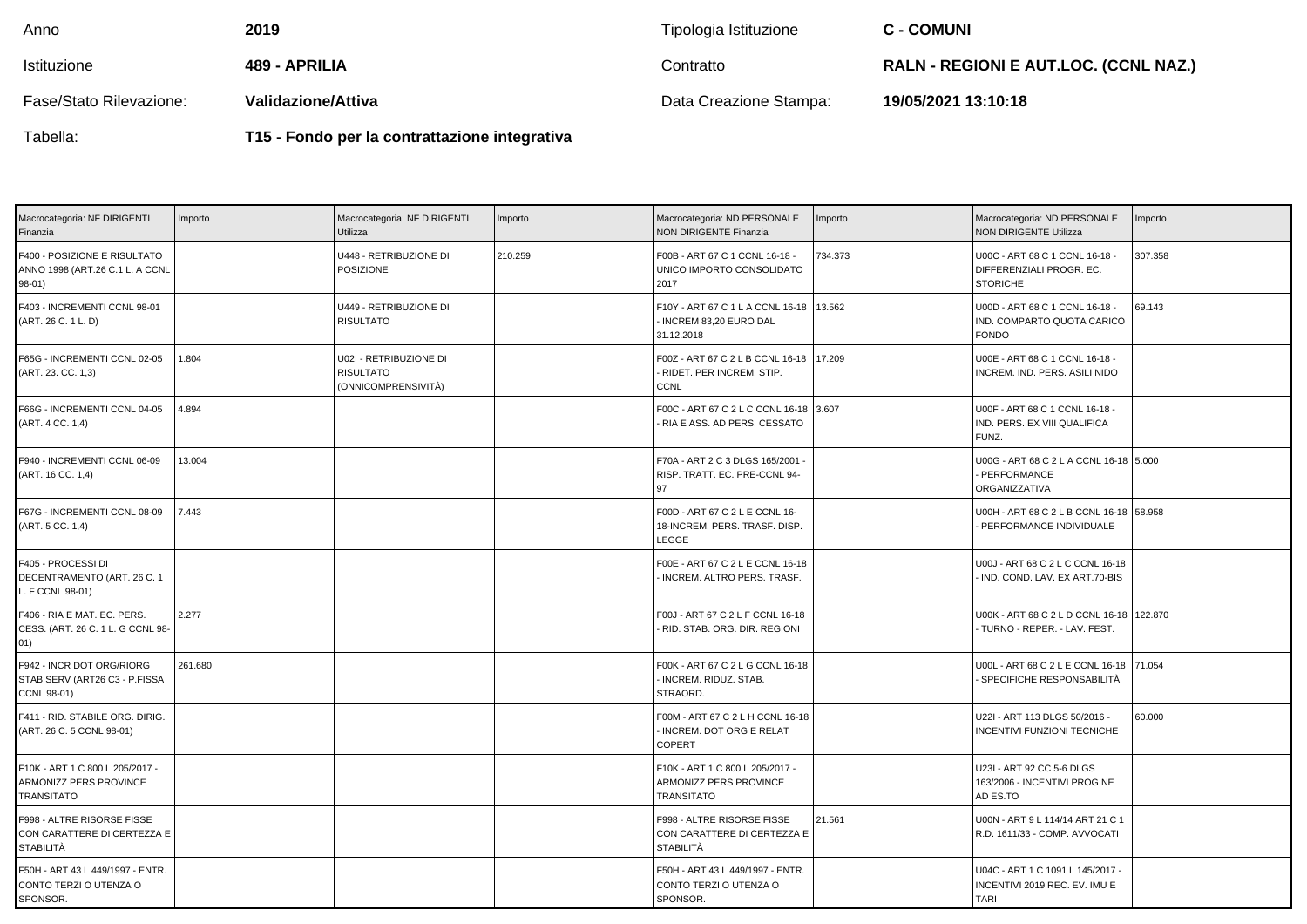| Anno                    | 2019               | Tipologia Istituzione  | <b>C - COMUNI</b>                            |
|-------------------------|--------------------|------------------------|----------------------------------------------|
| Istituzione             | 489 - APRILIA      | Contratto              | <b>RALN - REGIONI E AUT.LOC. (CCNL NAZ.)</b> |
| Fase/Stato Rilevazione: | Validazione/Attiva | Data Creazione Stampa: | 19/05/2021 13:10:18                          |

Tabella:

**T15 - Fondo per la contrattazione integrativa**

| Macrocategoria: NF DIRIGENTI<br>Finanzia                                         | Importo | Macrocategoria: NF DIRIGENTI<br>Utilizza                          | Importo | Macrocategoria: ND PERSONALE<br><b>NON DIRIGENTE Finanzia</b>                  | Importo | Macrocategoria: ND PERSONALE<br><b>NON DIRIGENTE Utilizza</b>                    | mporto  |
|----------------------------------------------------------------------------------|---------|-------------------------------------------------------------------|---------|--------------------------------------------------------------------------------|---------|----------------------------------------------------------------------------------|---------|
| F400 - POSIZIONE E RISULTATO<br>ANNO 1998 (ART.26 C.1 L. A CCNL<br>$98-01)$      |         | U448 - RETRIBUZIONE DI<br><b>POSIZIONE</b>                        | 210.259 | F00B - ART 67 C 1 CCNL 16-18 -<br>UNICO IMPORTO CONSOLIDATO<br>2017            | 734.373 | U00C - ART 68 C 1 CCNL 16-18 -<br>DIFFERENZIALI PROGR. EC.<br><b>STORICHE</b>    | 307.358 |
| F403 - INCREMENTI CCNL 98-01<br>(ART. 26 C. 1 L. D)                              |         | U449 - RETRIBUZIONE DI<br><b>RISULTATO</b>                        |         | F10Y - ART 67 C 1 L A CCNL 16-18<br>INCREM 83,20 EURO DAL<br>31.12.2018        | 13.562  | U00D - ART 68 C 1 CCNL 16-18 -<br>IND. COMPARTO QUOTA CARICO<br><b>FONDO</b>     | 69.143  |
| F65G - INCREMENTI CCNL 02-05<br>(ART. 23. CC. 1,3)                               | 1.804   | U02I - RETRIBUZIONE DI<br><b>RISULTATO</b><br>(ONNICOMPRENSIVITÀ) |         | F00Z - ART 67 C 2 L B CCNL 16-18<br>RIDET. PER INCREM. STIP.<br><b>CCNL</b>    | 17.209  | U00E - ART 68 C 1 CCNL 16-18 -<br>INCREM. IND. PERS. ASILI NIDO                  |         |
| F66G - INCREMENTI CCNL 04-05<br>(ART. 4 CC. 1,4)                                 | 4.894   |                                                                   |         | F00C - ART 67 C 2 L C CCNL 16-18 3.607<br>RIA E ASS. AD PERS. CESSATO          |         | U00F - ART 68 C 1 CCNL 16-18 -<br>IND. PERS. EX VIII QUALIFICA<br>FUNZ.          |         |
| F940 - INCREMENTI CCNL 06-09<br>(ART. 16 CC. 1,4)                                | 13.004  |                                                                   |         | F70A - ART 2 C 3 DLGS 165/2001 -<br>RISP. TRATT. EC. PRE-CCNL 94-<br>97        |         | U00G - ART 68 C 2 L A CCNL 16-18 5.000<br>PERFORMANCE<br>ORGANIZZATIVA           |         |
| F67G - INCREMENTI CCNL 08-09<br>(ART. 5 CC. 1,4)                                 | 7.443   |                                                                   |         | F00D - ART 67 C 2 L E CCNL 16-<br>18-INCREM. PERS. TRASF. DISP.<br>LEGGE       |         | U00H - ART 68 C 2 L B CCNL 16-18 58.958<br>PERFORMANCE INDIVIDUALE               |         |
| F405 - PROCESSI DI<br>DECENTRAMENTO (ART. 26 C. 1<br>L. F CCNL 98-01)            |         |                                                                   |         | F00E - ART 67 C 2 L E CCNL 16-18<br>INCREM. ALTRO PERS. TRASF.                 |         | U00J - ART 68 C 2 L C CCNL 16-18<br>IND. COND. LAV. EX ART.70-BIS                |         |
| F406 - RIA E MAT. EC. PERS.<br>CESS. (ART. 26 C. 1 L. G CCNL 98-<br>01)          | 2.277   |                                                                   |         | F00J - ART 67 C 2 L F CCNL 16-18<br>RID. STAB. ORG. DIR. REGIONI               |         | U00K - ART 68 C 2 L D CCNL 16-18 122.870<br>TURNO - REPER. - LAV. FEST.          |         |
| F942 - INCR DOT ORG/RIORG<br>STAB SERV (ART26 C3 - P.FISSA<br><b>CCNL 98-01)</b> | 261.680 |                                                                   |         | F00K - ART 67 C 2 L G CCNL 16-18<br>INCREM. RIDUZ. STAB.<br>STRAORD.           |         | U00L - ART 68 C 2 L E CCNL 16-18 71.054<br>SPECIFICHE RESPONSABILITÀ             |         |
| F411 - RID. STABILE ORG. DIRIG.<br>(ART. 26 C. 5 CCNL 98-01)                     |         |                                                                   |         | F00M - ART 67 C 2 L H CCNL 16-18<br>- INCREM. DOT ORG E RELAT<br><b>COPERT</b> |         | U22I - ART 113 DLGS 50/2016 -<br>INCENTIVI FUNZIONI TECNICHE                     | 60.000  |
| F10K - ART 1 C 800 L 205/2017 -<br>ARMONIZZ PERS PROVINCE<br><b>TRANSITATO</b>   |         |                                                                   |         | F10K - ART 1 C 800 L 205/2017 -<br>ARMONIZZ PERS PROVINCE<br><b>TRANSITATO</b> |         | U23I - ART 92 CC 5-6 DLGS<br>163/2006 - INCENTIVI PROG.NE<br>AD ES.TO            |         |
| F998 - ALTRE RISORSE FISSE<br>CON CARATTERE DI CERTEZZA E<br><b>STABILITÀ</b>    |         |                                                                   |         | F998 - ALTRE RISORSE FISSE<br>CON CARATTERE DI CERTEZZA E<br>STABILITÀ         | 21.561  | U00N - ART 9 L 114/14 ART 21 C 1<br>R.D. 1611/33 - COMP. AVVOCATI                |         |
| F50H - ART 43 L 449/1997 - ENTR.<br>CONTO TERZI O UTENZA O<br>SPONSOR.           |         |                                                                   |         | F50H - ART 43 L 449/1997 - ENTR.<br>CONTO TERZI O UTENZA O<br>SPONSOR.         |         | U04C - ART 1 C 1091 L 145/2017 -<br>INCENTIVI 2019 REC. EV. IMU E<br><b>TARI</b> |         |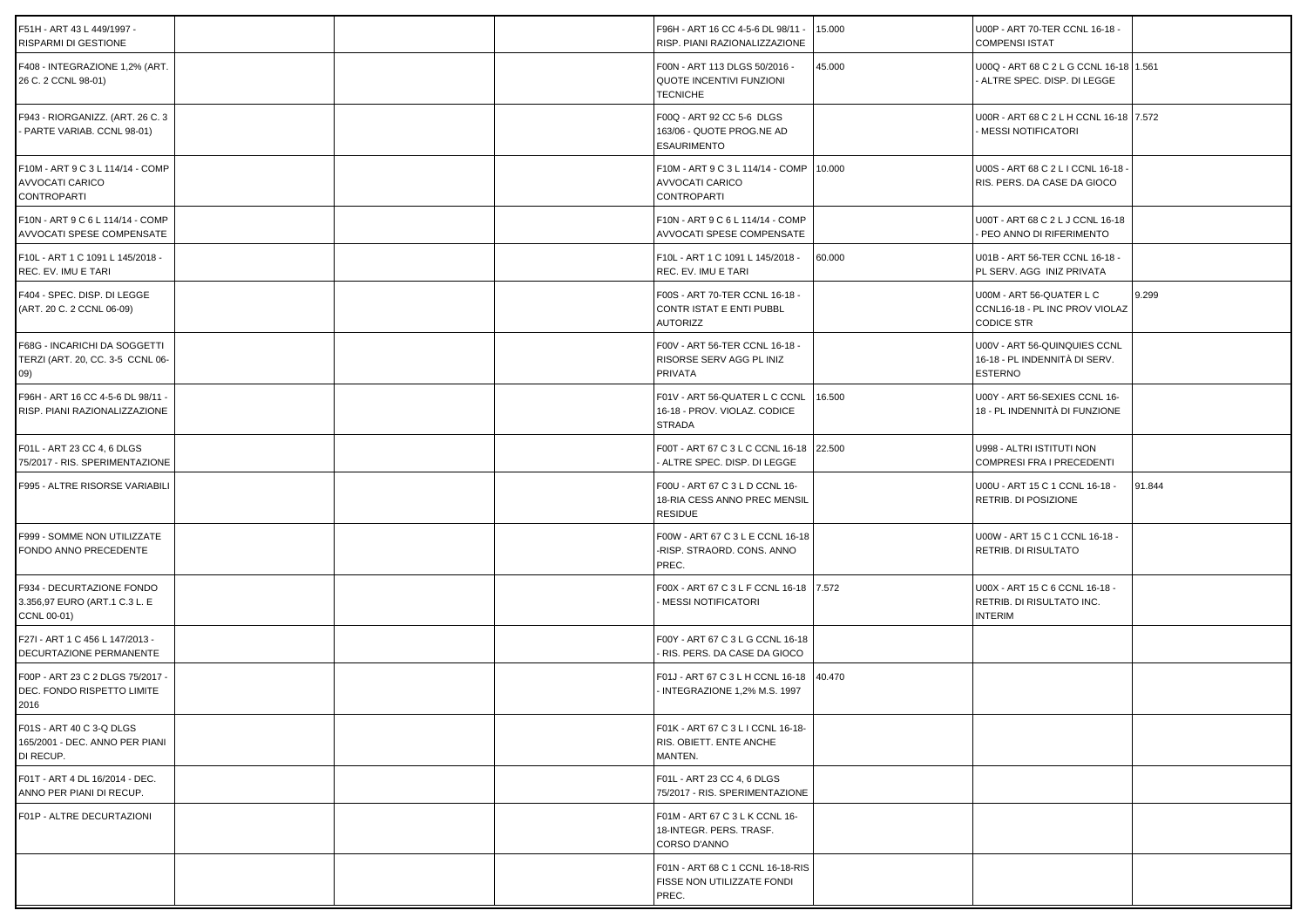| F51H - ART 43 L 449/1997 -<br>RISPARMI DI GESTIONE                        |  | F96H - ART 16 CC 4-5-6 DL 98/11 ·<br>RISP. PIANI RAZIONALIZZAZIONE               | 15.000 | U00P - ART 70-TER CCNL 16-18 -<br><b>COMPENSI ISTAT</b>                         |        |
|---------------------------------------------------------------------------|--|----------------------------------------------------------------------------------|--------|---------------------------------------------------------------------------------|--------|
| F408 - INTEGRAZIONE 1,2% (ART.<br>26 C. 2 CCNL 98-01)                     |  | F00N - ART 113 DLGS 50/2016 -<br>QUOTE INCENTIVI FUNZIONI<br><b>TECNICHE</b>     | 45.000 | U00Q - ART 68 C 2 L G CCNL 16-18 1.561<br>ALTRE SPEC. DISP. DI LEGGE            |        |
| F943 - RIORGANIZZ. (ART. 26 C. 3<br>- PARTE VARIAB. CCNL 98-01)           |  | F00Q - ART 92 CC 5-6 DLGS<br>163/06 - QUOTE PROG.NE AD<br><b>ESAURIMENTO</b>     |        | U00R - ART 68 C 2 L H CCNL 16-18 7.572<br>MESSI NOTIFICATORI                    |        |
| F10M - ART 9 C 3 L 114/14 - COMP<br>AVVOCATI CARICO<br><b>CONTROPARTI</b> |  | F10M - ART 9 C 3 L 114/14 - COMP<br>AVVOCATI CARICO<br><b>CONTROPARTI</b>        | 10.000 | U00S - ART 68 C 2 L I CCNL 16-18<br>RIS. PERS. DA CASE DA GIOCO                 |        |
| F10N - ART 9 C 6 L 114/14 - COMP<br>AVVOCATI SPESE COMPENSATE             |  | F10N - ART 9 C 6 L 114/14 - COMP<br>AVVOCATI SPESE COMPENSATE                    |        | U00T - ART 68 C 2 L J CCNL 16-18<br>PEO ANNO DI RIFERIMENTO                     |        |
| F10L - ART 1 C 1091 L 145/2018 -<br>REC. EV. IMU E TARI                   |  | F10L - ART 1 C 1091 L 145/2018 -<br>REC. EV. IMU E TARI                          | 60.000 | U01B - ART 56-TER CCNL 16-18 -<br>PL SERV. AGG INIZ PRIVATA                     |        |
| F404 - SPEC. DISP. DI LEGGE<br>(ART. 20 C. 2 CCNL 06-09)                  |  | F00S - ART 70-TER CCNL 16-18 -<br>CONTR ISTAT E ENTI PUBBL<br><b>AUTORIZZ</b>    |        | U00M - ART 56-QUATER L C<br>CCNL16-18 - PL INC PROV VIOLAZ<br><b>CODICE STR</b> | 9.299  |
| F68G - INCARICHI DA SOGGETTI<br>TERZI (ART. 20, CC. 3-5 CCNL 06-<br>09)   |  | F00V - ART 56-TER CCNL 16-18 -<br>RISORSE SERV AGG PL INIZ<br><b>PRIVATA</b>     |        | U00V - ART 56-QUINQUIES CCNL<br>16-18 - PL INDENNITÀ DI SERV.<br><b>ESTERNO</b> |        |
| F96H - ART 16 CC 4-5-6 DL 98/11<br>RISP. PIANI RAZIONALIZZAZIONE          |  | F01V - ART 56-QUATER L C CCNL<br>16-18 - PROV. VIOLAZ. CODICE<br>STRADA          | 16.500 | U00Y - ART 56-SEXIES CCNL 16-<br>18 - PL INDENNITÀ DI FUNZIONE                  |        |
| F01L - ART 23 CC 4, 6 DLGS<br>75/2017 - RIS. SPERIMENTAZIONE              |  | F00T - ART 67 C 3 L C CCNL 16-18 22.500<br>ALTRE SPEC. DISP. DI LEGGE            |        | U998 - ALTRI ISTITUTI NON<br><b>COMPRESI FRA I PRECEDENTI</b>                   |        |
| F995 - ALTRE RISORSE VARIABILI                                            |  | F00U - ART 67 C 3 L D CCNL 16-<br>18-RIA CESS ANNO PREC MENSIL<br><b>RESIDUE</b> |        | U00U - ART 15 C 1 CCNL 16-18 -<br>RETRIB. DI POSIZIONE                          | 91.844 |
| F999 - SOMME NON UTILIZZATE<br>FONDO ANNO PRECEDENTE                      |  | F00W - ART 67 C 3 L E CCNL 16-18<br>-RISP. STRAORD. CONS. ANNO<br>PREC.          |        | U00W - ART 15 C 1 CCNL 16-18 -<br>RETRIB. DI RISULTATO                          |        |
| F934 - DECURTAZIONE FONDO<br>3.356,97 EURO (ART.1 C.3 L. E<br>CCNL 00-01) |  | F00X - ART 67 C 3 L F CCNL 16-18 7.572<br>MESSI NOTIFICATORI                     |        | U00X - ART 15 C 6 CCNL 16-18 -<br>RETRIB. DI RISULTATO INC.<br><b>INTERIM</b>   |        |
| F27I - ART 1 C 456 L 147/2013 -<br>DECURTAZIONE PERMANENTE                |  | F00Y - ART 67 C 3 L G CCNL 16-18<br>RIS. PERS. DA CASE DA GIOCO                  |        |                                                                                 |        |
| F00P - ART 23 C 2 DLGS 75/2017<br>DEC. FONDO RISPETTO LIMITE<br>2016      |  | F01J - ART 67 C 3 L H CCNL 16-18<br>INTEGRAZIONE 1,2% M.S. 1997                  | 40.470 |                                                                                 |        |
| F01S - ART 40 C 3-Q DLGS<br>165/2001 - DEC. ANNO PER PIANI<br>DI RECUP.   |  | F01K - ART 67 C 3 L I CCNL 16-18-<br>RIS. OBIETT. ENTE ANCHE<br>MANTEN.          |        |                                                                                 |        |
| F01T - ART 4 DL 16/2014 - DEC.<br>ANNO PER PIANI DI RECUP.                |  | F01L - ART 23 CC 4, 6 DLGS<br>75/2017 - RIS. SPERIMENTAZIONE                     |        |                                                                                 |        |
| F01P - ALTRE DECURTAZIONI                                                 |  | F01M - ART 67 C 3 L K CCNL 16-<br>18-INTEGR. PERS. TRASF.<br>CORSO D'ANNO        |        |                                                                                 |        |
|                                                                           |  | F01N - ART 68 C 1 CCNL 16-18-RIS<br>FISSE NON UTILIZZATE FONDI<br>PREC.          |        |                                                                                 |        |